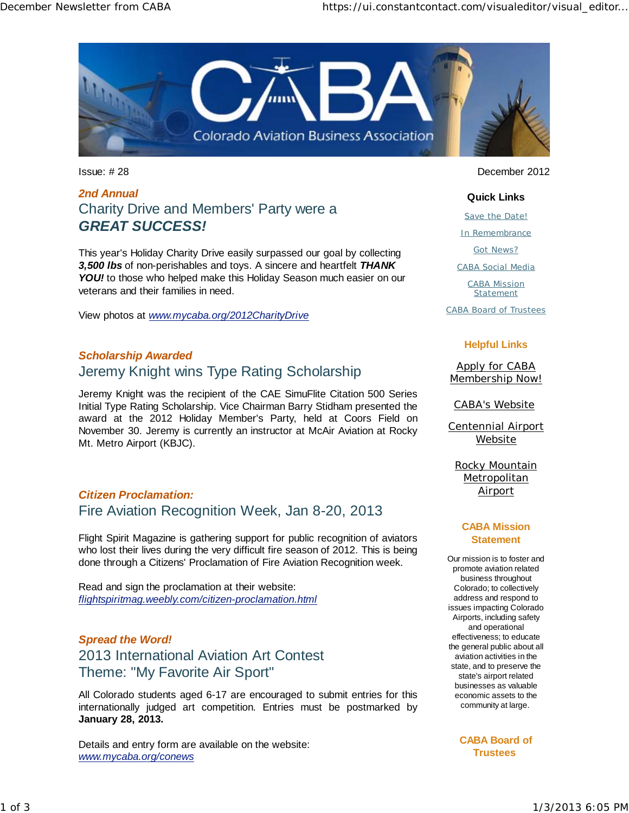

# *2nd Annual* Charity Drive and Members' Party were a *GREAT SUCCESS!*

This year's Holiday Charity Drive easily surpassed our goal by collecting *3,500 lbs* of non-perishables and toys. A sincere and heartfelt *THANK* YOU! to those who helped make this Holiday Season much easier on our veterans and their families in need.

View photos at *www.mycaba.org/2012CharityDrive*

# *Scholarship Awarded* Jeremy Knight wins Type Rating Scholarship

Jeremy Knight was the recipient of the CAE SimuFlite Citation 500 Series Initial Type Rating Scholarship. Vice Chairman Barry Stidham presented the award at the 2012 Holiday Member's Party, held at Coors Field on November 30. Jeremy is currently an instructor at McAir Aviation at Rocky Mt. Metro Airport (KBJC).

# *Citizen Proclamation:* Fire Aviation Recognition Week, Jan 8-20, 2013

Flight Spirit Magazine is gathering support for public recognition of aviators who lost their lives during the very difficult fire season of 2012. This is being done through a Citizens' Proclamation of Fire Aviation Recognition week.

Read and sign the proclamation at their website: *flightspiritmag.weebly.com/citizen-proclamation.html*

# *Spread the Word!* 2013 International Aviation Art Contest Theme: "My Favorite Air Sport"

All Colorado students aged 6-17 are encouraged to submit entries for this internationally judged art competition. Entries must be postmarked by **January 28, 2013.** 

Details and entry form are available on the website: *www.mycaba.org/conews*

Issue: # 28 December 2012

#### **Quick Links**

Save the Date!

In Remembrance

Got News?

CABA Social Media

CABA Mission Statement

CABA Board of Trustees

#### **Helpful Links**

Apply for CABA Membership Now!

CABA's Website

Centennial Airport **Website** 

Rocky Mountain **Metropolitan Airport** 

#### **CABA Mission Statement**

Our mission is to foster and promote aviation related business throughout Colorado; to collectively address and respond to issues impacting Colorado Airports, including safety and operational effectiveness; to educate the general public about all aviation activities in the state, and to preserve the state's airport related businesses as valuable economic assets to the community at large.

> **CABA Board of Trustees**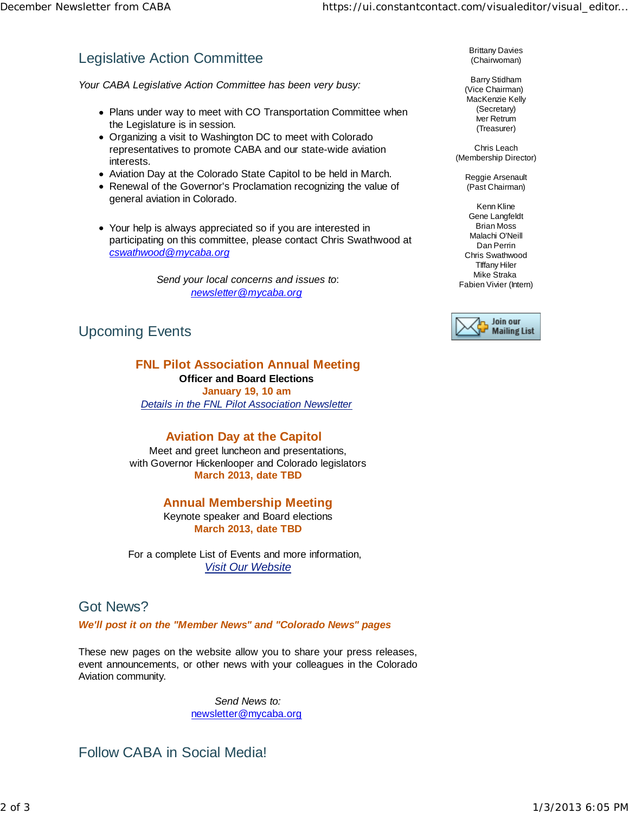# Legislative Action Committee

*Your CABA Legislative Action Committee has been very busy:*

- Plans under way to meet with CO Transportation Committee when the Legislature is in session.
- Organizing a visit to Washington DC to meet with Colorado representatives to promote CABA and our state-wide aviation interests.
- Aviation Day at the Colorado State Capitol to be held in March.
- Renewal of the Governor's Proclamation recognizing the value of general aviation in Colorado.
- Your help is always appreciated so if you are interested in participating on this committee, please contact Chris Swathwood at *cswathwood@mycaba.org*

*Send your local concerns and issues to*: *newsletter@mycaba.org*

# Upcoming Events

### **FNL Pilot Association Annual Meeting Officer and Board Elections**

**January 19, 10 am**  *Details in the FNL Pilot Association Newsletter*

**Aviation Day at the Capitol** Meet and greet luncheon and presentations, with Governor Hickenlooper and Colorado legislators **March 2013, date TBD**

## **Annual Membership Meeting**

Keynote speaker and Board elections **March 2013, date TBD**

For a complete List of Events and more information, *Visit Our Website*

#### Got News?

*We'll post it on the "Member News" and "Colorado News" pages* 

These new pages on the website allow you to share your press releases, event announcements, or other news with your colleagues in the Colorado Aviation community.

> *Send News to:* newsletter@mycaba.org

Follow CABA in Social Media!

Brittany Davies (Chairwoman)

Barry Stidham (Vice Chairman) MacKenzie Kelly (Secretary) Iver Retrum (Treasurer)

Chris Leach (Membership Director)

> Reggie Arsenault (Past Chairman)

Kenn Kline Gene Langfeldt Brian Moss Malachi O'Neill Dan Perrin Chris Swathwood TIffany Hiler Mike Straka Fabien Vivier (Intern)